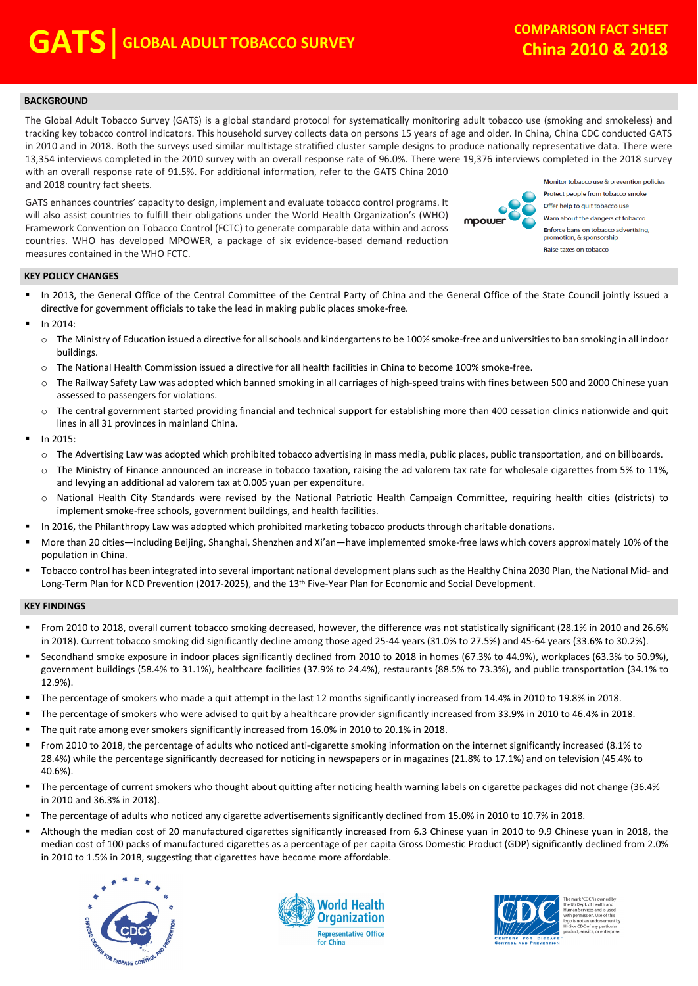### **BACKGROUND**

The Global Adult Tobacco Survey (GATS) is a global standard protocol for systematically monitoring adult tobacco use (smoking and smokeless) and tracking key tobacco control indicators. This household survey collects data on persons 15 years of age and older. In China, China CDC conducted GATS in 2010 and in 2018. Both the surveys used similar multistage stratified cluster sample designs to produce nationally representative data. There were 13,354 interviews completed in the 2010 survey with an overall response rate of 96.0%. There were 19,376 interviews completed in the 2018 survey with an overall response rate of 91.5%. For additional information, refer to the GATS China 2010 Monitor tobaccouse & prevention policies and 2018 country fact sheets.

GATS enhances countries' capacity to design, implement and evaluate tobacco control programs. It will also assist countries to fulfill their obligations under the World Health Organization's (WHO) Framework Convention on Tobacco Control (FCTC) to generate comparable data within and across countries. WHO has developed MPOWER, a package of six evidence-based demand reduction measures contained in the WHO FCTC.



Protect people from tobacco smoke Offer help to quit tobacco use Warn about the dangers of tobacco Enforce bans on tobacco advertising, promotion, & sponsorship Raise taxes on tobacco

### **KEY POLICY CHANGES**

- . In 2013, the General Office of the Central Committee of the Central Party of China and the General Office of the State Council jointly issued a directive for government officials to take the lead in making public places smoke-free.
- . In 2014:
	- o The Ministry of Education issued a directive for all schools and kindergartensto be 100% smoke-free and universities to ban smoking in all indoor buildings.
	- o The National Health Commission issued a directive for all health facilities in China to become 100% smoke-free.
	- o The Railway Safety Law was adopted which banned smoking in all carriages of high-speed trains with fines between 500 and 2000 Chinese yuan assessed to passengers for violations.
	- o The central government started providing financial and technical support for establishing more than 400 cessation clinics nationwide and quit lines in all 31 provinces in mainland China.
- . In 2015:

.

- o The Advertising Law was adopted which prohibited tobacco advertising in mass media, public places, public transportation, and on billboards.
- o The Ministry of Finance announced an increase in tobacco taxation, raising the ad valorem tax rate for wholesale cigarettes from 5% to 11%, and levying an additional ad valorem tax at 0.005 yuan per expenditure.
- o National Health City Standards were revised by the National Patriotic Health Campaign Committee, requiring health cities (districts) to implement smoke-free schools, government buildings, and health facilities.
- In 2016, the Philanthropy Law was adopted which prohibited marketing tobacco products through charitable donations.
- . More than 20 cities—including Beijing, Shanghai, Shenzhen and Xi'an—have implemented smoke-free laws which covers approximately 10% of the population in China.
- . Tobacco control has been integrated into several important national development plans such as the Healthy China 2030 Plan, the National Mid- and Long-Term Plan for NCD Prevention (2017-2025), and the 13<sup>th</sup> Five-Year Plan for Economic and Social Development.

#### **KEY FINDINGS**

- . From 2010 to 2018, overall current tobacco smoking decreased, however, the difference was not statistically significant (28.1% in 2010 and 26.6% in 2018). Current tobacco smoking did significantly decline among those aged 25-44 years (31.0% to 27.5%) and 45-64 years (33.6% to 30.2%).
- . Secondhand smoke exposure in indoor places significantly declined from 2010 to 2018 in homes (67.3% to 44.9%), workplaces (63.3% to 50.9%), government buildings (58.4% to 31.1%), healthcare facilities (37.9% to 24.4%), restaurants (88.5% to 73.3%), and public transportation (34.1% to 12.9%).
- . The percentage of smokers who made a quit attempt in the last 12 months significantly increased from 14.4% in 2010 to 19.8% in 2018.
- . The percentage of smokers who were advised to quit by a healthcare provider significantly increased from 33.9% in 2010 to 46.4% in 2018.
- . The quit rate among ever smokers significantly increased from 16.0% in 2010 to 20.1% in 2018.
- . From 2010 to 2018, the percentage of adults who noticed anti-cigarette smoking information on the internet significantly increased (8.1% to 28.4%) while the percentage significantly decreased for noticing in newspapers or in magazines (21.8% to 17.1%) and on television (45.4% to 40.6%).
- . The percentage of current smokers who thought about quitting after noticing health warning labels on cigarette packages did not change (36.4% in 2010 and 36.3% in 2018).
- . The percentage of adults who noticed any cigarette advertisements significantly declined from 15.0% in 2010 to 10.7% in 2018.
- . Although the median cost of 20 manufactured cigarettes significantly increased from 6.3 Chinese yuan in 2010 to 9.9 Chinese yuan in 2018, the median cost of 100 packs of manufactured cigarettes as a percentage of per capita Gross Domestic Product (GDP) significantly declined from 2.0% in 2010 to 1.5% in 2018, suggesting that cigarettes have become more affordable.